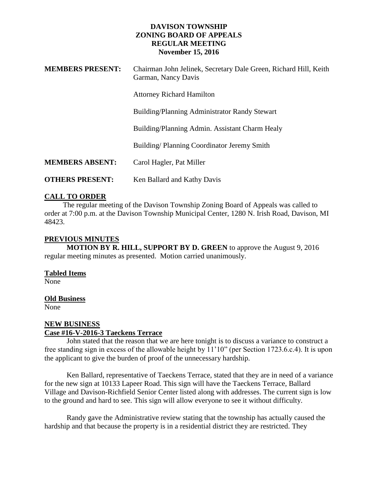#### **DAVISON TOWNSHIP ZONING BOARD OF APPEALS REGULAR MEETING November 15, 2016**

| <b>MEMBERS PRESENT:</b> | Chairman John Jelinek, Secretary Dale Green, Richard Hill, Keith<br>Garman, Nancy Davis |
|-------------------------|-----------------------------------------------------------------------------------------|
|                         | <b>Attorney Richard Hamilton</b>                                                        |
|                         | Building/Planning Administrator Randy Stewart                                           |
|                         | Building/Planning Admin. Assistant Charm Healy                                          |
|                         | Building/Planning Coordinator Jeremy Smith                                              |
| <b>MEMBERS ABSENT:</b>  | Carol Hagler, Pat Miller                                                                |
| <b>OTHERS PRESENT:</b>  | Ken Ballard and Kathy Davis                                                             |

# **CALL TO ORDER**

 The regular meeting of the Davison Township Zoning Board of Appeals was called to order at 7:00 p.m. at the Davison Township Municipal Center, 1280 N. Irish Road, Davison, MI 48423.

### **PREVIOUS MINUTES**

**MOTION BY R. HILL, SUPPORT BY D. GREEN** to approve the August 9, 2016 regular meeting minutes as presented. Motion carried unanimously.

#### **Tabled Items**

None

#### **Old Business**

None

# **NEW BUSINESS Case #16-V-2016-3 Taeckens Terrace**

John stated that the reason that we are here tonight is to discuss a variance to construct a free standing sign in excess of the allowable height by 11'10" (per Section 1723.6.c.4). It is upon the applicant to give the burden of proof of the unnecessary hardship.

Ken Ballard, representative of Taeckens Terrace, stated that they are in need of a variance for the new sign at 10133 Lapeer Road. This sign will have the Taeckens Terrace, Ballard Village and Davison-Richfield Senior Center listed along with addresses. The current sign is low to the ground and hard to see. This sign will allow everyone to see it without difficulty.

Randy gave the Administrative review stating that the township has actually caused the hardship and that because the property is in a residential district they are restricted. They